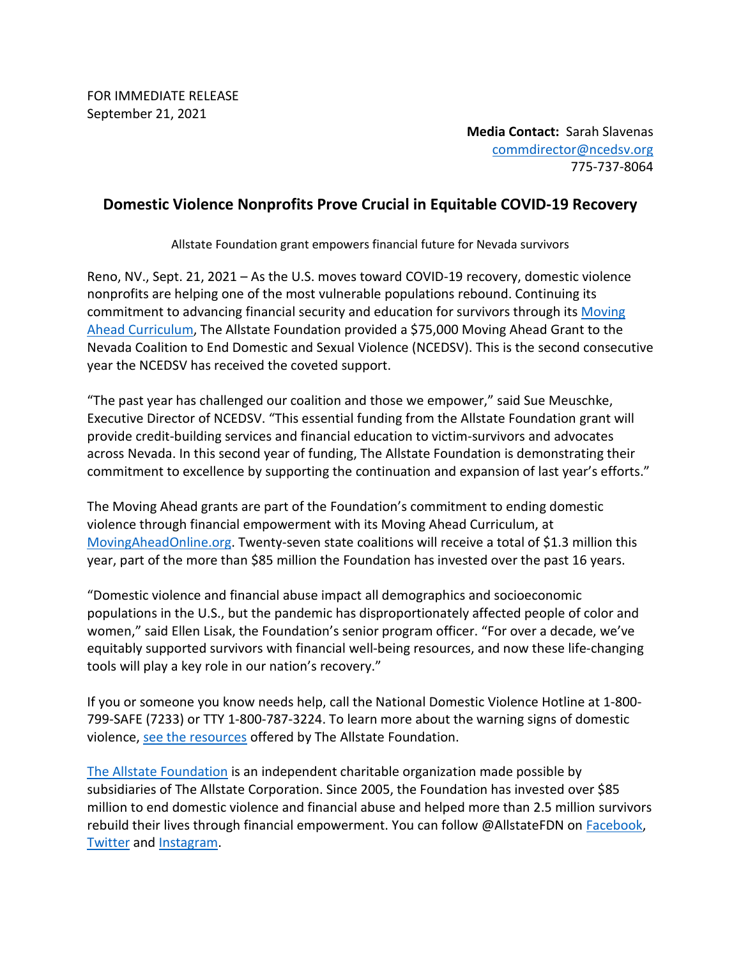FOR IMMEDIATE RELEASE September 21, 2021

> **Media Contact:** Sarah Slavenas [commdirector@ncedsv.org](mailto:commdirector@ncedsv.org) 775-737-8064

## **Domestic Violence Nonprofits Prove Crucial in Equitable COVID-19 Recovery**

Allstate Foundation grant empowers financial future for Nevada survivors

Reno, NV., Sept. 21, 2021 – As the U.S. moves toward COVID-19 recovery, domestic violence nonprofits are helping one of the most vulnerable populations rebound. Continuing its commitment to advancing financial security and education for survivors through its [Moving](http://www.movingaheadonline.org/)  [Ahead Curriculum,](http://www.movingaheadonline.org/) The Allstate Foundation provided a \$75,000 Moving Ahead Grant to the Nevada Coalition to End Domestic and Sexual Violence (NCEDSV). This is the second consecutive year the NCEDSV has received the coveted support.

"The past year has challenged our coalition and those we empower," said Sue Meuschke, Executive Director of NCEDSV. "This essential funding from the Allstate Foundation grant will provide credit-building services and financial education to victim-survivors and advocates across Nevada. In this second year of funding, The Allstate Foundation is demonstrating their commitment to excellence by supporting the continuation and expansion of last year's efforts."

The Moving Ahead grants are part of the Foundation's commitment to ending domestic violence through financial empowerment with its Moving Ahead Curriculum, at [MovingAheadOnline.org.](http://www.movingaheadonline.org/) Twenty-seven state coalitions will receive a total of \$1.3 million this year, part of the more than \$85 million the Foundation has invested over the past 16 years.

"Domestic violence and financial abuse impact all demographics and socioeconomic populations in the U.S., but the pandemic has disproportionately affected people of color and women," said Ellen Lisak, the Foundation's senior program officer. "For over a decade, we've equitably supported survivors with financial well-being resources, and now these life-changing tools will play a key role in our nation's recovery."

If you or someone you know needs help, call the National Domestic Violence Hotline at 1-800- 799-SAFE (7233) or TTY 1-800-787-3224. To learn more about the warning signs of domestic violence, [see the resources](https://allstatefoundation.org/what-we-do/end-domestic-violence/resources/) offered by The Allstate Foundation.

[The Allstate Foundation](http://www.allstatefoundation.org/) is an independent charitable organization made possible by subsidiaries of The Allstate Corporation. Since 2005, the Foundation has invested over \$85 million to end domestic violence and financial abuse and helped more than 2.5 million survivors rebuild their lives through financial empowerment. You can follow @AllstateFDN on [Facebook,](http://www.facebook.com/AllstateFDN) [Twitter](http://www.twitter.com/AllstateFDN) and [Instagram.](http://www.instagram.com/AllstateFDN)